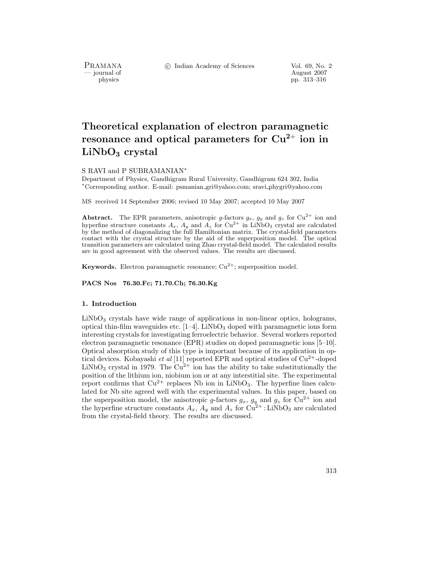PRAMANA<br>
— journal of

c Indian Academy of Sciences Vol. 69, No. 2

urnal of August 2007<br>
physics physics probability and the August 2007<br>
pp. 313–316 physics pp. 313–316

# **Theoretical explanation of electron paramagnetic resonance and optical parameters for Cu<sup>2</sup>**<sup>+</sup> **ion in LiNbO<sup>3</sup> crystal**

### S RAVI and P SUBRAMANIAN∗

Department of Physics, Gandhigram Rural University, Gandhigram 624 302, India <sup>∗</sup>Corresponding author. E-mail: psmanian gri@yahoo.com; sravi phygri@yahoo.com

MS received 14 September 2006; revised 10 May 2007; accepted 10 May 2007

**Abstract.** The EPR parameters, anisotropic *g*-factors  $g_x$ ,  $g_y$  and  $g_z$  for  $Cu^{2+}$  ion and hyperfine structure constants  $A = A$ , and  $A =$  for  $Cu^{2+}$  in LiNbQs crustal are calculated hyperfine structure constants  $A_x$ ,  $A_y$  and  $A_z$  for  $Cu^{2+}$  in LiNbO<sub>3</sub> crystal are calculated<br>by the method of diagonalizing the full Hamiltonian matrix. The crystal-field parameters by the method of diagonalizing the full Hamiltonian matrix. The crystal-field parameters contact with the crystal structure by the aid of the superposition model. The optical transition parameters are calculated using Zhao crystal-field model. The calculated results are in good agreement with the observed values. The results are discussed.

**Keywords.** Electron paramagnetic resonance;  $Cu^{2+}$ ; superposition model.

**PACS Nos 76.30.Fc; 71.70.Ch; 76.30.Kg**

## **1. Introduction**

 $LiNbO<sub>3</sub>$  crystals have wide range of applications in non-linear optics, holograms, optical thin-film waveguides etc.  $[1-4]$ . LiNbO<sub>3</sub> doped with paramagnetic ions form interesting crystals for investigating ferroelectric behavior. Several workers reported electron paramagnetic resonance (EPR) studies on doped paramagnetic ions [5–10]. Optical absorption study of this type is important because of its application in optical devices. Kobayashi *et al* [11] reported EPR and optical studies of  $Cu^{2+}$ -doped LiNbO<sub>3</sub> crystal in 1979. The  $Cu^{2+}$  ion has the ability to take substitutionally the position of the lithium ion, niobium ion or at any interstitial site. The experimental report confirms that  $Cu^{2+}$  replaces Nb ion in LiNbO<sub>3</sub>. The hyperfine lines calculated for Nb site agreed well with the experimental values. In this paper, based on the superposition model, the anisotropic g-factors  $g_x$ ,  $g_y$  and  $g_z$  for Cu<sup>2+</sup> ion and the hyperfine structure constants  $A_x$ ,  $A_y$  and  $A_z$  for  $Cu^{2+}$ : LiNbO<sub>3</sub> are calculated from the crystal-field theory. The results are discussed.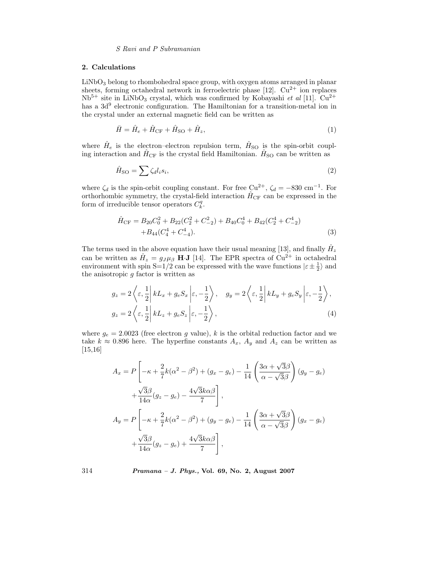*S Ravi and P Subramanian*

## **2. Calculations**

LiNbO<sub>3</sub> belong to rhombohedral space group, with oxygen atoms arranged in planar sheets, forming octahedral network in ferroelectric phase  $[12]$ .  $Cu^{2+}$  ion replaces  $Nb^{5+}$  site in LiNbO<sub>3</sub> crystal, which was confirmed by Kobayashi *et al* [11]. Cu<sup>2+</sup> has a  $3d^9$  electronic configuration. The Hamiltonian for a transition-metal ion in the crystal under an external magnetic field can be written as

$$
\bar{H} = \hat{H}_e + \hat{H}_{\rm CF} + \hat{H}_{\rm SO} + \hat{H}_z,\tag{1}
$$

where  $\hat{H}_e$  is the electron–electron repulsion term,  $\hat{H}_{\text{SO}}$  is the spin-orbit coupling interaction and  $\hat{H}_{CF}$  is the crystal field Hamiltonian.  $\hat{H}_{SO}$  can be written as

$$
\hat{H}_{\rm SO} = \sum \zeta_d l_i s_i,\tag{2}
$$

where  $\zeta_d$  is the spin-orbit coupling constant. For free Cu<sup>2+</sup>,  $\zeta_d = -830 \text{ cm}^{-1}$ . For orthorhombic symmetry, the crystal-field interaction  $\hat{H}_{CF}$  can be expressed in the form of irreducible tensor operators  $C_k^q$ .

$$
\hat{H}_{\rm CF} = B_{20}C_0^2 + B_{22}(C_2^2 + C_{-2}^2) + B_{40}C_0^4 + B_{42}(C_2^4 + C_{-2}^4) \n+ B_{44}(C_4^4 + C_{-4}^4).
$$
\n(3)

The terms used in the above equation have their usual meaning [13], and finally  $\hat{H}_z$ can be written as  $\hat{H}_z = g_J \mu_\beta$  H·**J** [14]. The EPR spectra of Cu<sup>2+</sup> in octahedral environment with spin  $S=1/2$  can be expressed with the wave functions  $|\varepsilon \pm \frac{1}{2}\rangle$  and the anisotronic *a* factor is written as the anisotropic  $g$  factor is written as

$$
g_z = 2\left\langle \varepsilon, \frac{1}{2} \middle| kL_x + g_e S_x \middle| \varepsilon, -\frac{1}{2} \right\rangle, \quad g_y = 2\left\langle \varepsilon, \frac{1}{2} \middle| kL_y + g_e S_y \middle| \varepsilon, -\frac{1}{2} \right\rangle,
$$
  

$$
g_z = 2\left\langle \varepsilon, \frac{1}{2} \middle| kL_z + g_e S_z \middle| \varepsilon, -\frac{1}{2} \right\rangle,
$$
 (4)

where  $g_e = 2.0023$  (free electron g value), k is the orbital reduction factor and we take  $k \approx 0.896$  here. The hyperfine constants  $A_x$ ,  $A_y$  and  $A_z$  can be written as [15,16]

$$
A_x = P\left[-\kappa + \frac{2}{7}k(\alpha^2 - \beta^2) + (g_x - g_e) - \frac{1}{14}\left(\frac{3\alpha + \sqrt{3}\beta}{\alpha - \sqrt{3}\beta}\right)(g_y - g_e) + \frac{\sqrt{3}\beta}{14\alpha}(g_z - g_e) - \frac{4\sqrt{3}k\alpha\beta}{7}\right],
$$
  

$$
A_y = P\left[-\kappa + \frac{2}{7}k(\alpha^2 - \beta^2) + (g_y - g_e) - \frac{1}{14}\left(\frac{3\alpha + \sqrt{3}\beta}{\alpha - \sqrt{3}\beta}\right)(g_x - g_e) + \frac{\sqrt{3}\beta}{14\alpha}(g_z - g_e) + \frac{4\sqrt{3}k\alpha\beta}{7}\right],
$$

314 *Pramana – J. Phys.,* **Vol. 69, No. 2, August 2007**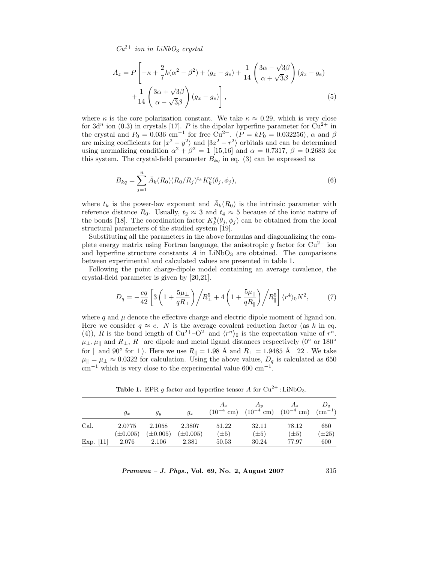$Cu^{2+}$  *ion in LiNbO*<sub>3</sub> *crystal* 

$$
A_z = P\left[-\kappa + \frac{2}{7}k(\alpha^2 - \beta^2) + (g_z - g_e) + \frac{1}{14}\left(\frac{3\alpha - \sqrt{3}\beta}{\alpha + \sqrt{3}\beta}\right)(g_x - g_e) + \frac{1}{14}\left(\frac{3\alpha + \sqrt{3}\beta}{\alpha - \sqrt{3}\beta}\right)(g_x - g_e)\right],
$$
\n(5)

where  $\kappa$  is the core polarization constant. We take  $\kappa \approx 0.29$ , which is very close<br>for  $3d^n$  ion (0.3) in crystals [17]. B is the dipolar hyperfine parameter for  $Cu^{2+}$  in for 3d<sup>n</sup> ion (0.3) in crystals [17]. P is the dipolar hyperfine parameter for  $\text{Cu}^{2+}$  in the crystal and  $P_0 = 0.036$  cm<sup>-1</sup> for free  $\text{Cu}^{2+}$  ( $P = kP_0 = 0.032256$ )  $\alpha$  and  $\beta$ the crystal and  $P_0 = 0.036$  cm<sup>-1</sup> for free Cu<sup>2+</sup>.  $(P = kP_0 = 0.032256)$ ,  $\alpha$  and  $\beta$ <br>are mixing coefficients for  $|x^2 - y^2|$  and  $|3z^2 - z^2|$  orbitals and can be determined are mixing coefficients for  $|x^2 - y^2\rangle$  and  $|3z^2 - r^2\rangle$  orbitals and can be determined<br>using pormalizing condition  $\alpha^2 + \beta^2 = 1$  [15.16] and  $\alpha = 0.7317$   $\beta = 0.2683$  for using normalizing condition  $\alpha^2 + \beta^2 = 1$  [15,16] and  $\alpha = 0.7317$ ,  $\beta = 0.2683$  for this system. The crystal-field parameter  $B_{kq}$  in eq. (3) can be expressed as

$$
B_{kq} = \sum_{j=1}^{n} \bar{A}_k(R_0)(R_0/R_j)^{t_k} K_k^q(\theta_j, \phi_j), \tag{6}
$$

where  $t_k$  is the power-law exponent and  $\bar{A}_k(R_0)$  is the intrinsic parameter with reference distance  $R_0$ . Usually,  $t_2 \approx 3$  and  $t_4 \approx 5$  because of the ionic nature of the bonds [18]. The coordination factor  $K_k^q(\theta_j, \phi_j)$  can be obtained from the local<br>structural parameters of the studied system [19] structural parameters of the studied system [19].

Substituting all the parameters in the above formulas and diagonalizing the complete energy matrix using Fortran language, the anisotropic g factor for  $Cu^{2+}$  ion and hyperfine structure constants  $A$  in LiNbO<sub>3</sub> are obtained. The comparisons between experimental and calculated values are presented in table 1.

Following the point charge-dipole model containing an average covalence, the crystal-field parameter is given by [20,21].

$$
D_q = -\frac{eq}{42} \left[ 3 \left( 1 + \frac{5\mu_\perp}{qR_\perp} \right) \bigg/ R_\perp^5 + 4 \left( 1 + \frac{5\mu_\parallel}{qR_\parallel} \right) \bigg/ R_\parallel^5 \right] \langle r^4 \rangle_0 N^2, \tag{7}
$$

where q and  $\mu$  denote the effective charge and electric dipole moment of ligand ion.<br>Here we consider  $q \approx e$ . N is the average covalent reduction factor (as k in eq. Here we consider  $q \approx e$ . N is the average covalent reduction factor (as k in eq. (4)) R is the bond length of  $Cu^{2+}-O^{2-}$  and  $\langle r^n \rangle$  is the expectation value of  $r^n$ . (4)), R is the bond length of  $Cu^{2+}-O^{2-}$  and  $\langle r^n \rangle_0$  is the expectation value of  $r^n$ .  $\mu_{\perp}, \mu_{\parallel}$  and  $R_{\perp}, R_{\parallel}$  are dipole and metal ligand distances respectively (0° or 180° for  $\parallel$  and 90° for  $\perp$ ). Here we use  $R_{\parallel} = 1.98 \text{ Å}$  and  $R_{\perp} = 1.9485 \text{ Å}$  [22]. We take  $\mu_{\parallel} = \mu_{\perp} \approx 0.0322$  for calculation. Using the above values,  $D_q$  is calculated as 650  $\text{cm}^{-1}$  which is very close to the experimental value 600 cm<sup>-1</sup>.

|             | $g_x$         | $g_u$         | $g_z$         | $A_r$     | $A_u$     | $A_z$<br>$(10^{-4} \text{ cm})$ $(10^{-4} \text{ cm})$ $(10^{-4} \text{ cm})$ $(\text{cm}^{-1})$ | $D_a$      |
|-------------|---------------|---------------|---------------|-----------|-----------|--------------------------------------------------------------------------------------------------|------------|
| Cal.        | 2.0775        | 2.1058        | 2.3807        | 51.22     | 32.11     | 78.12                                                                                            | 650        |
|             | $(\pm 0.005)$ | $(\pm 0.005)$ | $(\pm 0.005)$ | $(\pm 5)$ | $(\pm 5)$ | $(\pm 5)$                                                                                        | $(\pm 25)$ |
| Exp. $[11]$ | 2.076         | 2.106         | 2.381         | 50.53     | 30.24     | 77.97                                                                                            | 600        |

**Table 1.** EPR *g* factor and hyperfine tensor *A* for  $Cu^{2+}$ : LiNbO<sub>3</sub>.